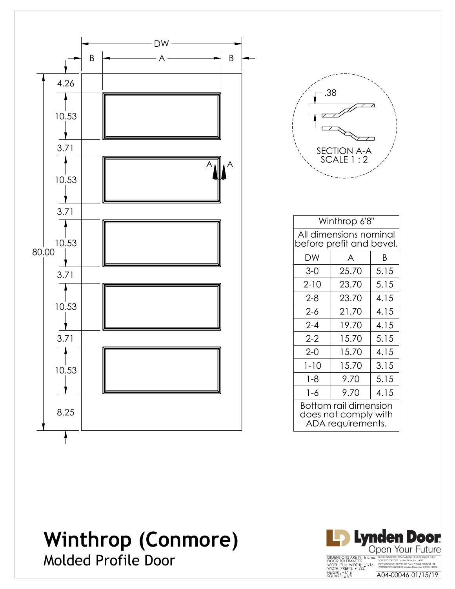

| .38                      |  |
|--------------------------|--|
| SECTION A-A<br>SCALE 1:2 |  |

| Winthrop 6'8"                                                      |  |  |  |  |
|--------------------------------------------------------------------|--|--|--|--|
| All dimensions nominal<br>before prefit and bevel.                 |  |  |  |  |
| B<br>DW<br>A                                                       |  |  |  |  |
| 5.15<br>25.70<br>$3-0$                                             |  |  |  |  |
| $2 - 10$<br>5.15<br>23.70                                          |  |  |  |  |
| 4.15<br>$2 - 8$<br>23.70                                           |  |  |  |  |
| 4.15<br>2-6<br>21.70                                               |  |  |  |  |
| $2 - 4$<br>4.15<br>19.70                                           |  |  |  |  |
| 5.15<br>$2 - 2$<br>15.70                                           |  |  |  |  |
| 4.15<br>$2 - 0$<br>15.70                                           |  |  |  |  |
| 3.15<br>$1 - 10$<br>15.70                                          |  |  |  |  |
| $1 - 8$<br>5.15<br>9.70                                            |  |  |  |  |
| 4.15<br>1-6<br>9.70                                                |  |  |  |  |
| Bottom rail dimension<br>does not comply with<br>ADA requirements. |  |  |  |  |

# **Winthrop (Conmore)** Molded Profile Door

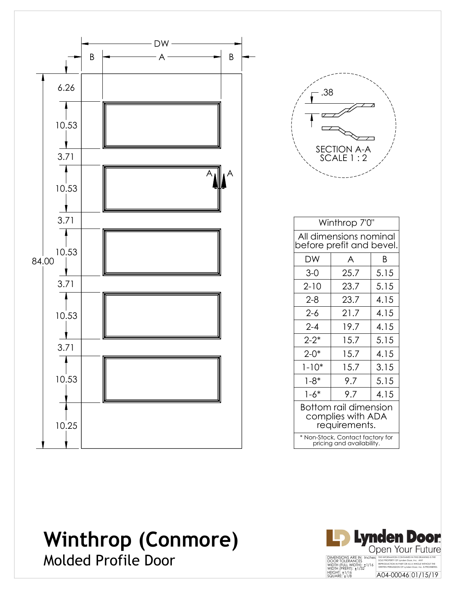

| .38<br>SECTION A-A<br>SCALE 1 : 2 |  |
|-----------------------------------|--|
|                                   |  |

| Winthrop 7'0"                                                 |              |  |  |  |  |
|---------------------------------------------------------------|--------------|--|--|--|--|
| All dimensions nominal<br>before prefit and bevel.            |              |  |  |  |  |
| DW                                                            | A<br>Β       |  |  |  |  |
| $3-0$                                                         | 25.7<br>5.15 |  |  |  |  |
| 5.15<br>$2 - 10$<br>23.7                                      |              |  |  |  |  |
| 4.15<br>$2 - 8$<br>23.7                                       |              |  |  |  |  |
| $2 - 6$<br>21.7<br>4.15                                       |              |  |  |  |  |
| 4.15<br>$2 - 4$<br>19.7                                       |              |  |  |  |  |
| $2 - 2^*$<br>15.7<br>5.15                                     |              |  |  |  |  |
| $2 - 0*$<br>4.15<br>15.7                                      |              |  |  |  |  |
| $1 - 10*$<br>15.7<br>3.15                                     |              |  |  |  |  |
| $1 - 8^*$                                                     | 9.7<br>5.15  |  |  |  |  |
| $1 - 6*$<br>9.7<br>4.15                                       |              |  |  |  |  |
| Bottom rail dimension<br>complies with ADA<br>requirements.   |              |  |  |  |  |
| * Non-Stock, Contact factory for<br>pricing and availability. |              |  |  |  |  |

### **Winthrop (Conmore)** Molded Profile Door

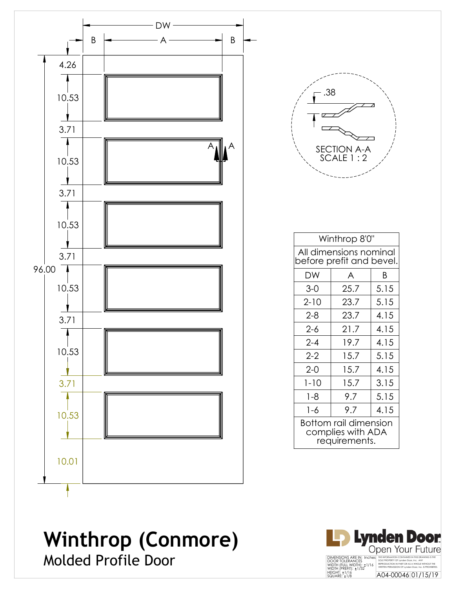

### **Winthrop (Conmore)** Molded Profile Door

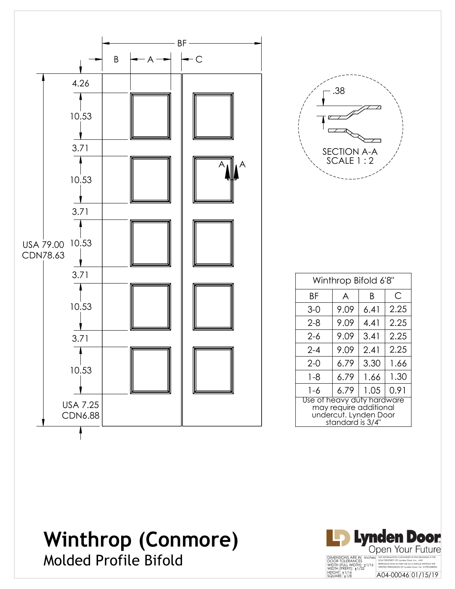

| .38                        |
|----------------------------|
|                            |
| SECTION A-A<br>SCALE 1 : 2 |

| Winthrop Bifold 6'8"                                                                              |      |      |      |  |
|---------------------------------------------------------------------------------------------------|------|------|------|--|
| ΒF                                                                                                | A    | Β    | C    |  |
| $3-0$                                                                                             | 9.09 | 6.41 | 2.25 |  |
| 2-8                                                                                               | 9.09 | 4.41 | 2.25 |  |
| 2-6                                                                                               | 9.09 | 3.41 | 2.25 |  |
| $2 - 4$                                                                                           | 9.09 | 2.41 | 2.25 |  |
| $2-0$                                                                                             | 6.79 | 3.30 | 1.66 |  |
| $1 - 8$                                                                                           | 6.79 | 1.66 | 1.30 |  |
| 1-6                                                                                               | 6.79 | 1.05 | 0.91 |  |
| Use of heavy duty hardware<br>may require additional<br>undercut. Lynden Door<br>standard is 3/4" |      |      |      |  |

## **Winthrop (Conmore)** Molded Profile Bifold

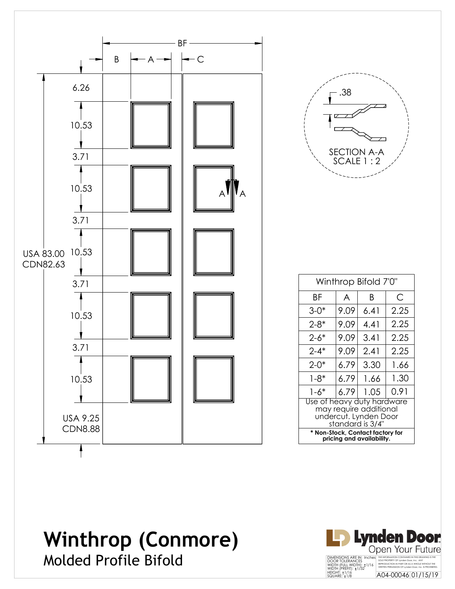

| 38<br>SECTION A-A<br>SCALE 1 : 2 |
|----------------------------------|
|                                  |

| Winthrop Bifold 7'0"                                                                              |      |      |      |  |
|---------------------------------------------------------------------------------------------------|------|------|------|--|
| ΒF                                                                                                | A    | B    | С    |  |
| $3 - 0^*$                                                                                         | 9.09 | 6.41 | 2.25 |  |
| $2 - 8^*$                                                                                         | 9.09 | 4.41 | 2.25 |  |
| 2-6*                                                                                              | 9.09 | 3.41 | 2.25 |  |
| $2 - 4*$                                                                                          | 9.09 | 2.41 | 2.25 |  |
| $2 - 0*$                                                                                          | 6.79 | 3.30 | 1.66 |  |
| 1-8*                                                                                              | 6.79 | 1.66 | 1.30 |  |
| 1-6*                                                                                              | 6.79 | 1.05 | 0.91 |  |
| Use of heavy duty hardware<br>may require additional<br>undercut. Lynden Door<br>standard is 3/4" |      |      |      |  |
| * Non-Stock, Contact factory for<br>pricing and availability.                                     |      |      |      |  |

# **Winthrop (Conmore)** Molded Profile Bifold